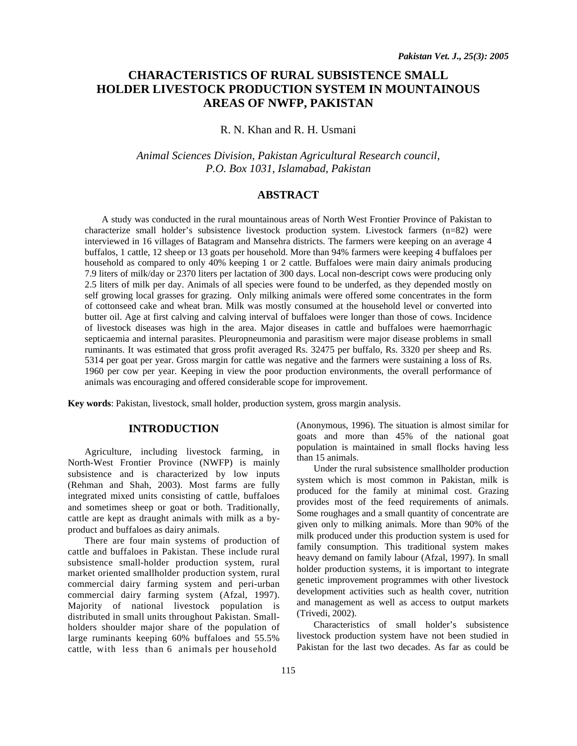# **CHARACTERISTICS OF RURAL SUBSISTENCE SMALL HOLDER LIVESTOCK PRODUCTION SYSTEM IN MOUNTAINOUS AREAS OF NWFP, PAKISTAN**

# R. N. Khan and R. H. Usmani

*Animal Sciences Division, Pakistan Agricultural Research council, P.O. Box 1031, Islamabad, Pakistan* 

# **ABSTRACT**

A study was conducted in the rural mountainous areas of North West Frontier Province of Pakistan to characterize small holder's subsistence livestock production system. Livestock farmers (n=82) were interviewed in 16 villages of Batagram and Mansehra districts. The farmers were keeping on an average 4 buffalos, 1 cattle, 12 sheep or 13 goats per household. More than 94% farmers were keeping 4 buffaloes per household as compared to only 40% keeping 1 or 2 cattle. Buffaloes were main dairy animals producing 7.9 liters of milk/day or 2370 liters per lactation of 300 days. Local non-descript cows were producing only 2.5 liters of milk per day. Animals of all species were found to be underfed, as they depended mostly on self growing local grasses for grazing. Only milking animals were offered some concentrates in the form of cottonseed cake and wheat bran. Milk was mostly consumed at the household level or converted into butter oil. Age at first calving and calving interval of buffaloes were longer than those of cows. Incidence of livestock diseases was high in the area. Major diseases in cattle and buffaloes were haemorrhagic septicaemia and internal parasites. Pleuropneumonia and parasitism were major disease problems in small ruminants. It was estimated that gross profit averaged Rs. 32475 per buffalo, Rs. 3320 per sheep and Rs. 5314 per goat per year. Gross margin for cattle was negative and the farmers were sustaining a loss of Rs. 1960 per cow per year. Keeping in view the poor production environments, the overall performance of animals was encouraging and offered considerable scope for improvement.

**Key words**: Pakistan, livestock, small holder, production system, gross margin analysis.

# **INTRODUCTION**

Agriculture, including livestock farming, in North-West Frontier Province (NWFP) is mainly subsistence and is characterized by low inputs (Rehman and Shah, 2003). Most farms are fully integrated mixed units consisting of cattle, buffaloes and sometimes sheep or goat or both. Traditionally, cattle are kept as draught animals with milk as a byproduct and buffaloes as dairy animals.

There are four main systems of production of cattle and buffaloes in Pakistan. These include rural subsistence small-holder production system, rural market oriented smallholder production system, rural commercial dairy farming system and peri-urban commercial dairy farming system (Afzal, 1997). Majority of national livestock population is distributed in small units throughout Pakistan. Smallholders shoulder major share of the population of large ruminants keeping 60% buffaloes and 55.5% cattle, with less than 6 animals per household

(Anonymous, 1996). The situation is almost similar for goats and more than 45% of the national goat population is maintained in small flocks having less than 15 animals.

Under the rural subsistence smallholder production system which is most common in Pakistan, milk is produced for the family at minimal cost. Grazing provides most of the feed requirements of animals. Some roughages and a small quantity of concentrate are given only to milking animals. More than 90% of the milk produced under this production system is used for family consumption. This traditional system makes heavy demand on family labour (Afzal, 1997). In small holder production systems, it is important to integrate genetic improvement programmes with other livestock development activities such as health cover, nutrition and management as well as access to output markets (Trivedi, 2002).

Characteristics of small holder's subsistence livestock production system have not been studied in Pakistan for the last two decades. As far as could be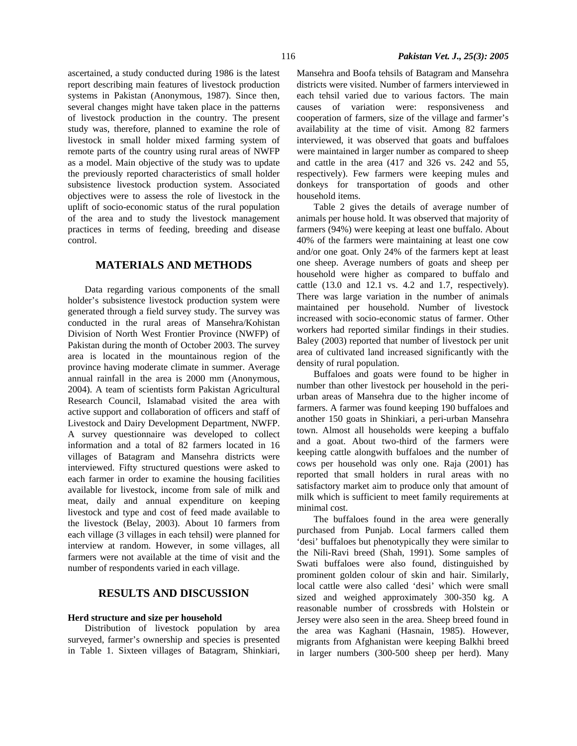ascertained, a study conducted during 1986 is the latest report describing main features of livestock production systems in Pakistan (Anonymous, 1987). Since then, several changes might have taken place in the patterns of livestock production in the country. The present study was, therefore, planned to examine the role of livestock in small holder mixed farming system of remote parts of the country using rural areas of NWFP as a model. Main objective of the study was to update the previously reported characteristics of small holder subsistence livestock production system. Associated objectives were to assess the role of livestock in the uplift of socio-economic status of the rural population of the area and to study the livestock management practices in terms of feeding, breeding and disease control.

# **MATERIALS AND METHODS**

Data regarding various components of the small holder's subsistence livestock production system were generated through a field survey study. The survey was conducted in the rural areas of Mansehra/Kohistan Division of North West Frontier Province (NWFP) of Pakistan during the month of October 2003. The survey area is located in the mountainous region of the province having moderate climate in summer. Average annual rainfall in the area is 2000 mm (Anonymous, 2004). A team of scientists form Pakistan Agricultural Research Council, Islamabad visited the area with active support and collaboration of officers and staff of Livestock and Dairy Development Department, NWFP. A survey questionnaire was developed to collect information and a total of 82 farmers located in 16 villages of Batagram and Mansehra districts were interviewed. Fifty structured questions were asked to each farmer in order to examine the housing facilities available for livestock, income from sale of milk and meat, daily and annual expenditure on keeping livestock and type and cost of feed made available to the livestock (Belay, 2003). About 10 farmers from each village (3 villages in each tehsil) were planned for interview at random. However, in some villages, all farmers were not available at the time of visit and the number of respondents varied in each village.

# **RESULTS AND DISCUSSION**

### **Herd structure and size per household**

Distribution of livestock population by area surveyed, farmer's ownership and species is presented in Table 1. Sixteen villages of Batagram, Shinkiari, Mansehra and Boofa tehsils of Batagram and Mansehra districts were visited. Number of farmers interviewed in each tehsil varied due to various factors. The main causes of variation were: responsiveness and cooperation of farmers, size of the village and farmer's availability at the time of visit. Among 82 farmers interviewed, it was observed that goats and buffaloes were maintained in larger number as compared to sheep and cattle in the area (417 and 326 vs. 242 and 55, respectively). Few farmers were keeping mules and donkeys for transportation of goods and other household items.

Table 2 gives the details of average number of animals per house hold. It was observed that majority of farmers (94%) were keeping at least one buffalo. About 40% of the farmers were maintaining at least one cow and/or one goat. Only 24% of the farmers kept at least one sheep. Average numbers of goats and sheep per household were higher as compared to buffalo and cattle (13.0 and 12.1 vs. 4.2 and 1.7, respectively). There was large variation in the number of animals maintained per household. Number of livestock increased with socio-economic status of farmer. Other workers had reported similar findings in their studies. Baley (2003) reported that number of livestock per unit area of cultivated land increased significantly with the density of rural population.

Buffaloes and goats were found to be higher in number than other livestock per household in the periurban areas of Mansehra due to the higher income of farmers. A farmer was found keeping 190 buffaloes and another 150 goats in Shinkiari, a peri-urban Mansehra town. Almost all households were keeping a buffalo and a goat. About two-third of the farmers were keeping cattle alongwith buffaloes and the number of cows per household was only one. Raja (2001) has reported that small holders in rural areas with no satisfactory market aim to produce only that amount of milk which is sufficient to meet family requirements at minimal cost.

The buffaloes found in the area were generally purchased from Punjab. Local farmers called them 'desi' buffaloes but phenotypically they were similar to the Nili-Ravi breed (Shah, 1991). Some samples of Swati buffaloes were also found, distinguished by prominent golden colour of skin and hair. Similarly, local cattle were also called 'desi' which were small sized and weighed approximately 300-350 kg. A reasonable number of crossbreds with Holstein or Jersey were also seen in the area. Sheep breed found in the area was Kaghani (Hasnain, 1985). However, migrants from Afghanistan were keeping Balkhi breed in larger numbers (300-500 sheep per herd). Many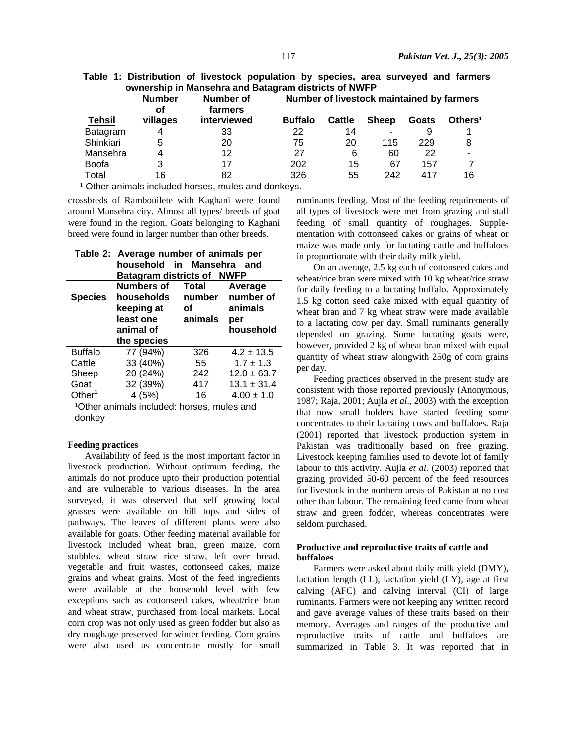|              | <b>Number</b><br>оf | Number of<br>farmers | Number of livestock maintained by farmers |        |              |       |                     |
|--------------|---------------------|----------------------|-------------------------------------------|--------|--------------|-------|---------------------|
| Tehsil       | villages            | interviewed          | <b>Buffalo</b>                            | Cattle | <b>Sheep</b> | Goats | Others <sup>1</sup> |
| Batagram     | 4                   | 33                   | 22                                        | 14     |              | 9     |                     |
| Shinkiari    | 5                   | 20                   | 75                                        | 20     | 115          | 229   | 8                   |
| Mansehra     | 4                   | 12                   | 27                                        | 6      | 60           | 22    | -                   |
| <b>Boofa</b> | 3                   | 17                   | 202                                       | 15     | 67           | 157   |                     |
| Total        | 16                  | 82                   | 326                                       | 55     | 242          | 417   | 16                  |

**Table 1: Distribution of livestock population by species, area surveyed and farmers ownership in Mansehra and Batagram districts of NWFP** 

<sup>1</sup> Other animals included horses, mules and donkeys.

crossbreds of Rambouilete with Kaghani were found around Mansehra city. Almost all types/ breeds of goat were found in the region. Goats belonging to Kaghani breed were found in larger number than other breeds.

|                              | Table 2: Average number of animals per<br>household in Mansehra<br>and<br><b>Batagram districts of NWFP</b> |                                  |                                                     |  |  |  |
|------------------------------|-------------------------------------------------------------------------------------------------------------|----------------------------------|-----------------------------------------------------|--|--|--|
| <b>Species</b>               | <b>Numbers of</b><br>households<br>keeping at<br>least one<br>animal of                                     | Total<br>number<br>οf<br>animals | Average<br>number of<br>animals<br>per<br>household |  |  |  |
|                              | the species                                                                                                 |                                  |                                                     |  |  |  |
| <b>Buffalo</b>               | 77 (94%)                                                                                                    | 326                              | $4.2 \pm 13.5$                                      |  |  |  |
| Cattle                       | 33 (40%)                                                                                                    | 55                               | $1.7 \pm 1.3$                                       |  |  |  |
| Sheep                        | 20 (24%)                                                                                                    | 242                              | $12.0 \pm 63.7$                                     |  |  |  |
| Goat                         | 32 (39%)                                                                                                    | 417                              | $13.1 \pm 31.4$                                     |  |  |  |
| Other <sup>1</sup><br>$\sim$ | 4(5%)<br>.                                                                                                  | 16                               | $4.00 \pm 1.0$                                      |  |  |  |

<sup>1</sup>Other animals included: horses, mules and donkey

## **Feeding practices**

Availability of feed is the most important factor in livestock production. Without optimum feeding, the animals do not produce upto their production potential and are vulnerable to various diseases. In the area surveyed, it was observed that self growing local grasses were available on hill tops and sides of pathways. The leaves of different plants were also available for goats. Other feeding material available for livestock included wheat bran, green maize, corn stubbles, wheat straw rice straw, left over bread, vegetable and fruit wastes, cottonseed cakes, maize grains and wheat grains. Most of the feed ingredients were available at the household level with few exceptions such as cottonseed cakes, wheat/rice bran and wheat straw, purchased from local markets. Local corn crop was not only used as green fodder but also as dry roughage preserved for winter feeding. Corn grains were also used as concentrate mostly for small

ruminants feeding. Most of the feeding requirements of all types of livestock were met from grazing and stall feeding of small quantity of roughages. Supplementation with cottonseed cakes or grains of wheat or maize was made only for lactating cattle and buffaloes in proportionate with their daily milk yield.

On an average, 2.5 kg each of cottonseed cakes and wheat/rice bran were mixed with 10 kg wheat/rice straw for daily feeding to a lactating buffalo. Approximately 1.5 kg cotton seed cake mixed with equal quantity of wheat bran and 7 kg wheat straw were made available to a lactating cow per day. Small ruminants generally depended on grazing. Some lactating goats were, however, provided 2 kg of wheat bran mixed with equal quantity of wheat straw alongwith 250g of corn grains per day.

Feeding practices observed in the present study are consistent with those reported previously (Anonymous, 1987; Raja, 2001; Aujla *et al*., 2003) with the exception that now small holders have started feeding some concentrates to their lactating cows and buffaloes. Raja (2001) reported that livestock production system in Pakistan was traditionally based on free grazing. Livestock keeping families used to devote lot of family labour to this activity. Aujla *et al*. (2003) reported that grazing provided 50-60 percent of the feed resources for livestock in the northern areas of Pakistan at no cost other than labour. The remaining feed came from wheat straw and green fodder, whereas concentrates were seldom purchased.

#### **Productive and reproductive traits of cattle and buffaloes**

Farmers were asked about daily milk yield (DMY), lactation length (LL), lactation yield (LY), age at first calving (AFC) and calving interval (CI) of large ruminants. Farmers were not keeping any written record and gave average values of these traits based on their memory. Averages and ranges of the productive and reproductive traits of cattle and buffaloes are summarized in Table 3. It was reported that in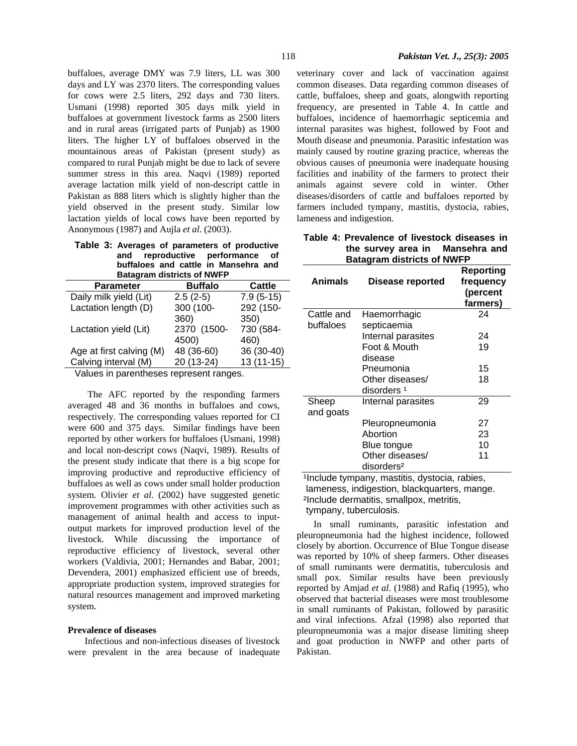buffaloes, average DMY was 7.9 liters, LL was 300 days and LY was 2370 liters. The corresponding values for cows were 2.5 liters, 292 days and 730 liters. Usmani (1998) reported 305 days milk yield in buffaloes at government livestock farms as 2500 liters and in rural areas (irrigated parts of Punjab) as 1900 liters. The higher LY of buffaloes observed in the mountainous areas of Pakistan (present study) as compared to rural Punjab might be due to lack of severe summer stress in this area. Naqvi (1989) reported average lactation milk yield of non-descript cattle in Pakistan as 888 liters which is slightly higher than the yield observed in the present study. Similar low lactation yields of local cows have been reported by Anonymous (1987) and Aujla *et al*. (2003).

|  | Table 3: Averages of parameters of productive |
|--|-----------------------------------------------|
|  | and reproductive performance of               |
|  | buffaloes and cattle in Mansehra and          |
|  | <b>Batagram districts of NWFP</b>             |

| <b>Parameter</b>         | <b>Buffalo</b> | <b>Cattle</b> |
|--------------------------|----------------|---------------|
| Daily milk yield (Lit)   | $2.5(2-5)$     | $7.9(5-15)$   |
| Lactation length (D)     | 300 (100-      | 292 (150-     |
|                          | 360)           | 350)          |
| Lactation yield (Lit)    | 2370 (1500-    | 730 (584-     |
|                          | 4500)          | 460)          |
| Age at first calving (M) | 48 (36-60)     | 36 (30-40)    |
| Calving interval (M)     | 20 (13-24)     | $13(11-15)$   |

Values in parentheses represent ranges.

The AFC reported by the responding farmers averaged 48 and 36 months in buffaloes and cows, respectively. The corresponding values reported for CI were 600 and 375 days. Similar findings have been reported by other workers for buffaloes (Usmani, 1998) and local non-descript cows (Naqvi, 1989). Results of the present study indicate that there is a big scope for improving productive and reproductive efficiency of buffaloes as well as cows under small holder production system. Olivier *et al*. (2002) have suggested genetic improvement programmes with other activities such as management of animal health and access to inputoutput markets for improved production level of the livestock. While discussing the importance of reproductive efficiency of livestock, several other workers (Valdivia, 2001; Hernandes and Babar, 2001; Devendera, 2001) emphasized efficient use of breeds, appropriate production system, improved strategies for natural resources management and improved marketing system.

#### **Prevalence of diseases**

Infectious and non-infectious diseases of livestock were prevalent in the area because of inadequate veterinary cover and lack of vaccination against common diseases. Data regarding common diseases of cattle, buffaloes, sheep and goats, alongwith reporting frequency, are presented in Table 4. In cattle and buffaloes, incidence of haemorrhagic septicemia and internal parasites was highest, followed by Foot and Mouth disease and pneumonia. Parasitic infestation was mainly caused by routine grazing practice, whereas the obvious causes of pneumonia were inadequate housing facilities and inability of the farmers to protect their animals against severe cold in winter. Other diseases/disorders of cattle and buffaloes reported by farmers included tympany, mastitis, dystocia, rabies, lameness and indigestion.

|  |                                   | Table 4: Prevalence of livestock diseases in |
|--|-----------------------------------|----------------------------------------------|
|  |                                   | the survey area in Mansehra and              |
|  | <b>Batagram districts of NWFP</b> |                                              |

| Animals                 | Disease reported                          | Reporting<br>frequency<br>(percent<br>farmers) |
|-------------------------|-------------------------------------------|------------------------------------------------|
| Cattle and<br>buffaloes | Haemorrhagic<br>septicaemia               | 24                                             |
|                         | Internal parasites                        | 24                                             |
|                         | Foot & Mouth<br>disease                   | 19                                             |
|                         | Pneumonia                                 | 15                                             |
|                         | Other diseases/<br>disorders <sup>1</sup> | 18                                             |
| Sheep<br>and goats      | Internal parasites                        | 29                                             |
|                         | Pleuropneumonia                           | 27                                             |
|                         | Abortion                                  | 23                                             |
|                         | Blue tongue                               | 10                                             |
|                         | Other diseases/<br>disorders <sup>2</sup> | 11                                             |

<sup>1</sup>Include tympany, mastitis, dystocia, rabies, lameness, indigestion, blackquarters, mange. ²Include dermatitis, smallpox, metritis,

tympany, tuberculosis.

In small ruminants, parasitic infestation and pleuropneumonia had the highest incidence, followed closely by abortion. Occurrence of Blue Tongue disease was reported by 10% of sheep farmers. Other diseases of small ruminants were dermatitis, tuberculosis and small pox. Similar results have been previously reported by Amjad *et al*. (1988) and Rafiq (1995), who observed that bacterial diseases were most troublesome in small ruminants of Pakistan, followed by parasitic and viral infections. Afzal (1998) also reported that pleuropneumonia was a major disease limiting sheep and goat production in NWFP and other parts of Pakistan.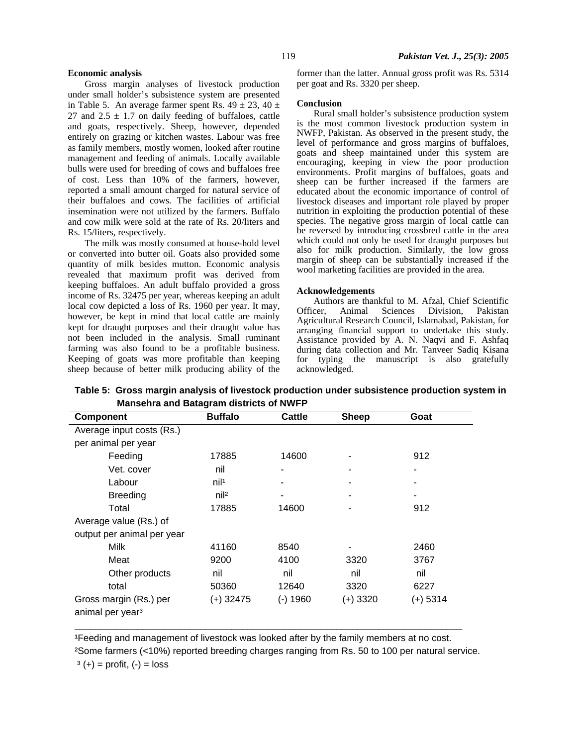Gross margin analyses of livestock production under small holder's subsistence system are presented in Table 5. An average farmer spent Rs.  $49 \pm 23$ ,  $40 \pm 1$ 27 and 2.5  $\pm$  1.7 on daily feeding of buffaloes, cattle and goats, respectively. Sheep, however, depended entirely on grazing or kitchen wastes. Labour was free as family members, mostly women, looked after routine management and feeding of animals. Locally available bulls were used for breeding of cows and buffaloes free of cost. Less than 10% of the farmers, however, reported a small amount charged for natural service of their buffaloes and cows. The facilities of artificial insemination were not utilized by the farmers. Buffalo and cow milk were sold at the rate of Rs. 20/liters and Rs. 15/liters, respectively.

The milk was mostly consumed at house-hold level or converted into butter oil. Goats also provided some quantity of milk besides mutton. Economic analysis revealed that maximum profit was derived from keeping buffaloes. An adult buffalo provided a gross income of Rs. 32475 per year, whereas keeping an adult local cow depicted a loss of Rs. 1960 per year. It may, however, be kept in mind that local cattle are mainly kept for draught purposes and their draught value has not been included in the analysis. Small ruminant farming was also found to be a profitable business. Keeping of goats was more profitable than keeping sheep because of better milk producing ability of the

former than the latter. Annual gross profit was Rs. 5314 per goat and Rs. 3320 per sheep.

#### **Conclusion**

Rural small holder's subsistence production system is the most common livestock production system in NWFP, Pakistan. As observed in the present study, the level of performance and gross margins of buffaloes, goats and sheep maintained under this system are encouraging, keeping in view the poor production environments. Profit margins of buffaloes, goats and sheep can be further increased if the farmers are educated about the economic importance of control of livestock diseases and important role played by proper nutrition in exploiting the production potential of these species. The negative gross margin of local cattle can be reversed by introducing crossbred cattle in the area which could not only be used for draught purposes but also for milk production. Similarly, the low gross margin of sheep can be substantially increased if the wool marketing facilities are provided in the area.

#### **Acknowledgements**

Authors are thankful to M. Afzal, Chief Scientific<br>Officer. Animal Sciences Division. Pakistan Sciences Division, Pakistan Agricultural Research Council, Islamabad, Pakistan, for arranging financial support to undertake this study. Assistance provided by A. N. Naqvi and F. Ashfaq during data collection and Mr. Tanveer Sadiq Kisana for typing the manuscript is also gratefully acknowledged.

**Table 5: Gross margin analysis of livestock production under subsistence production system in Mansehra and Batagram districts of NWFP** 

| <b>Component</b>                                       | <b>Buffalo</b>   | Cattle     | <b>Sheep</b> | Goat       |  |
|--------------------------------------------------------|------------------|------------|--------------|------------|--|
| Average input costs (Rs.)                              |                  |            |              |            |  |
| per animal per year                                    |                  |            |              |            |  |
| Feeding                                                | 17885            | 14600      |              | 912        |  |
| Vet. cover                                             | nil              |            | ۰            |            |  |
| Labour                                                 | nil <sup>1</sup> |            | ۰            |            |  |
| <b>Breeding</b>                                        | nil <sup>2</sup> |            |              |            |  |
| Total                                                  | 17885            | 14600      |              | 912        |  |
| Average value (Rs.) of                                 |                  |            |              |            |  |
| output per animal per year                             |                  |            |              |            |  |
| Milk                                                   | 41160            | 8540       |              | 2460       |  |
| Meat                                                   | 9200             | 4100       | 3320         | 3767       |  |
| Other products                                         | nil              | nil        | nil          | nil        |  |
| total                                                  | 50360            | 12640      | 3320         | 6227       |  |
| Gross margin (Rs.) per<br>animal per year <sup>3</sup> | (+) 32475        | $(-) 1960$ | $(+)$ 3320   | $(+)$ 5314 |  |

<sup>1</sup>Feeding and management of livestock was looked after by the family members at no cost. ²Some farmers (<10%) reported breeding charges ranging from Rs. 50 to 100 per natural service.  $3 (+)$  = profit,  $(-)$  = loss

 $\overline{\phantom{a}}$  ,  $\overline{\phantom{a}}$  ,  $\overline{\phantom{a}}$  ,  $\overline{\phantom{a}}$  ,  $\overline{\phantom{a}}$  ,  $\overline{\phantom{a}}$  ,  $\overline{\phantom{a}}$  ,  $\overline{\phantom{a}}$  ,  $\overline{\phantom{a}}$  ,  $\overline{\phantom{a}}$  ,  $\overline{\phantom{a}}$  ,  $\overline{\phantom{a}}$  ,  $\overline{\phantom{a}}$  ,  $\overline{\phantom{a}}$  ,  $\overline{\phantom{a}}$  ,  $\overline{\phantom{a}}$